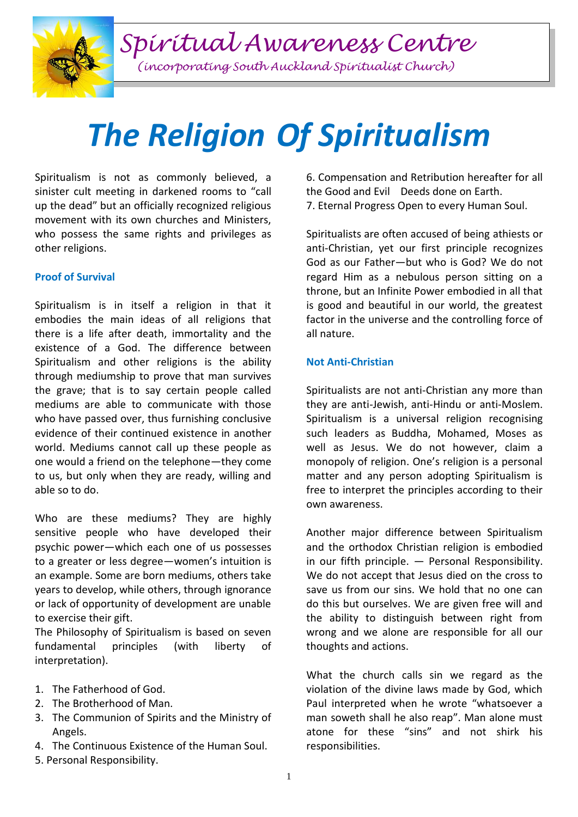*Spiritual Awareness Centre*

*(incorporating South Auckland Spiritualist Church)*

# *The Religion Of Spiritualism*

Spiritualism is not as commonly believed, a sinister cult meeting in darkened rooms to "call up the dead" but an officially recognized religious movement with its own churches and Ministers, who possess the same rights and privileges as other religions.

## **Proof of Survival**

Spiritualism is in itself a religion in that it embodies the main ideas of all religions that there is a life after death, immortality and the existence of a God. The difference between Spiritualism and other religions is the ability through mediumship to prove that man survives the grave; that is to say certain people called mediums are able to communicate with those who have passed over, thus furnishing conclusive evidence of their continued existence in another world. Mediums cannot call up these people as one would a friend on the telephone—they come to us, but only when they are ready, willing and able so to do.

Who are these mediums? They are highly sensitive people who have developed their psychic power—which each one of us possesses to a greater or less degree—women's intuition is an example. Some are born mediums, others take years to develop, while others, through ignorance or lack of opportunity of development are unable to exercise their gift.

The Philosophy of Spiritualism is based on seven fundamental principles (with liberty of interpretation).

- 1. The Fatherhood of God.
- 2. The Brotherhood of Man.
- 3. The Communion of Spirits and the Ministry of Angels.
- 4. The Continuous Existence of the Human Soul.
- 5. Personal Responsibility.

6. Compensation and Retribution hereafter for all the Good and EvilDeeds done on Earth. 7. Eternal Progress Open to every Human Soul.

Spiritualists are often accused of being athiests or anti-Christian, yet our first principle recognizes God as our Father—but who is God? We do not regard Him as a nebulous person sitting on a throne, but an Infinite Power embodied in all that is good and beautiful in our world, the greatest factor in the universe and the controlling force of all nature.

## **Not Anti-Christian**

Spiritualists are not anti-Christian any more than they are anti-Jewish, anti-Hindu or anti-Moslem. Spiritualism is a universal religion recognising such leaders as Buddha, Mohamed, Moses as well as Jesus. We do not however, claim a monopoly of religion. One's religion is a personal matter and any person adopting Spiritualism is free to interpret the principles according to their own awareness.

Another major difference between Spiritualism and the orthodox Christian religion is embodied in our fifth principle. — Personal Responsibility. We do not accept that Jesus died on the cross to save us from our sins. We hold that no one can do this but ourselves. We are given free will and the ability to distinguish between right from wrong and we alone are responsible for all our thoughts and actions.

What the church calls sin we regard as the violation of the divine laws made by God, which Paul interpreted when he wrote "whatsoever a man soweth shall he also reap". Man alone must atone for these "sins" and not shirk his responsibilities.